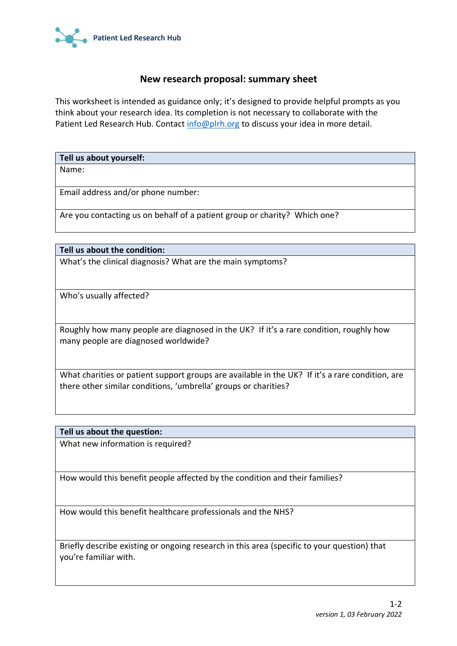

## **New research proposal: summary sheet**

This worksheet is intended as guidance only; it's designed to provide helpful prompts as you think about your research idea. Its completion is not necessary to collaborate with the Patient Led Research Hub. Contact [info@plrh.org](mailto:info@plrh.org) to discuss your idea in more detail.

**Tell us about yourself:**

Name:

Email address and/or phone number:

Are you contacting us on behalf of a patient group or charity? Which one?

**Tell us about the condition:**

What's the clinical diagnosis? What are the main symptoms?

Who's usually affected?

Roughly how many people are diagnosed in the UK? If it's a rare condition, roughly how many people are diagnosed worldwide?

What charities or patient support groups are available in the UK? If it's a rare condition, are there other similar conditions, 'umbrella' groups or charities?

## **Tell us about the question:**

What new information is required?

How would this benefit people affected by the condition and their families?

How would this benefit healthcare professionals and the NHS?

Briefly describe existing or ongoing research in this area (specific to your question) that you're familiar with.